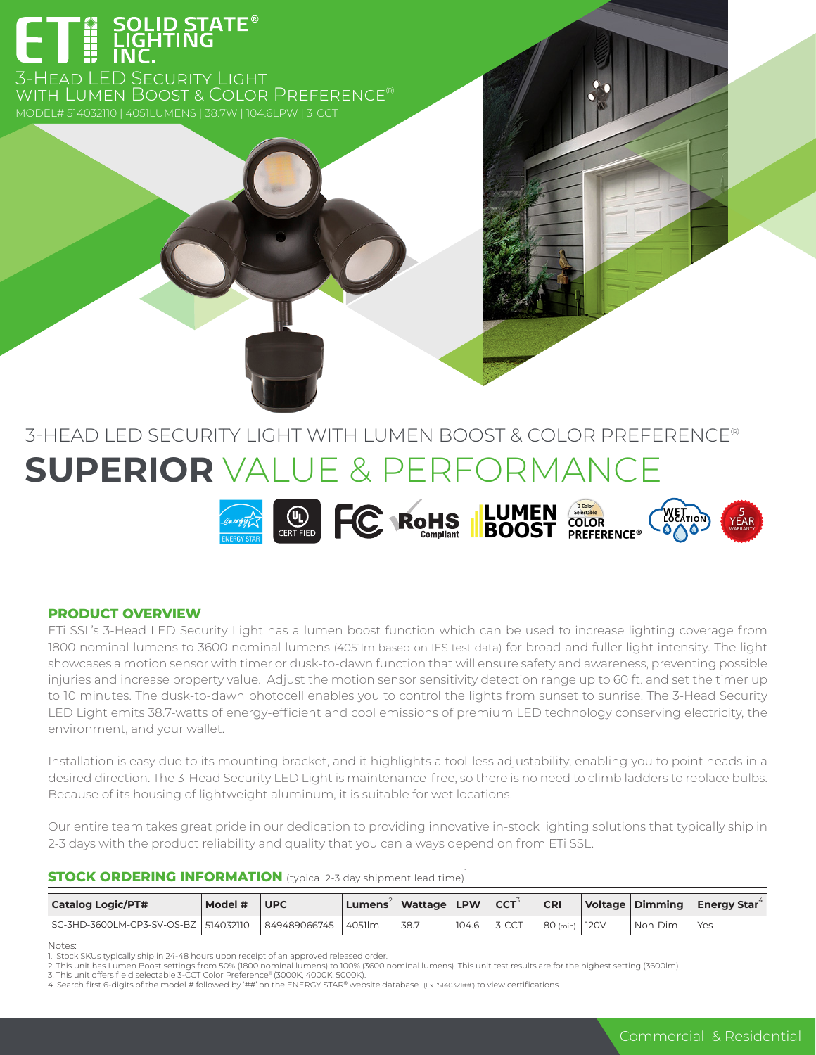

3-Head LED Security Light with Lumen Boost & Color Preference®

# 3-HEAD LED SECURITY LIGHT WITH LUMEN BOOST & COLOR PREFERENCE® **SUPERIOR** VALUE & PERFORMANCE



### **PRODUCT OVERVIEW**

ETi SSL's 3-Head LED Security Light has a lumen boost function which can be used to increase lighting coverage from 1800 nominal lumens to 3600 nominal lumens (4051lm based on IES test data) for broad and fuller light intensity. The light showcases a motion sensor with timer or dusk-to-dawn function that will ensure safety and awareness, preventing possible injuries and increase property value. Adjust the motion sensor sensitivity detection range up to 60 ft. and set the timer up to 10 minutes. The dusk-to-dawn photocell enables you to control the lights from sunset to sunrise. The 3-Head Security LED Light emits 38.7-watts of energy-efficient and cool emissions of premium LED technology conserving electricity, the environment, and your wallet.

Installation is easy due to its mounting bracket, and it highlights a tool-less adjustability, enabling you to point heads in a desired direction. The 3-Head Security LED Light is maintenance-free, so there is no need to climb ladders to replace bulbs. Because of its housing of lightweight aluminum, it is suitable for wet locations.

Our entire team takes great pride in our dedication to providing innovative in-stock lighting solutions that typically ship in 2-3 days with the product reliability and quality that you can always depend on from ETi SSL.

#### **STOCK ORDERING INFORMATION** (typical 2-3 day shipment lead time)<sup>1</sup>

| <b>Catalog Logic/PT#</b>               | Model # | <b>UPC</b>   | Lumens <sup>2</sup>   Wattage   LPW |      |       | $ CCT^2 $ | <b>CRI</b>      |         | $\vert$ Voltage $\vert$ Dimming $\vert$ Energy Star <sup>4</sup> |
|----------------------------------------|---------|--------------|-------------------------------------|------|-------|-----------|-----------------|---------|------------------------------------------------------------------|
| SC-3HD-3600LM-CP3-SV-OS-BZ   514032110 |         | 849489066745 | $1405$ lm                           | 38.7 | 104.6 | 3-CCT     | 80 (min)   120V | Non-Dim | Yes                                                              |

Notes:

Stock SKUs typically ship in 24-48 hours upon receipt of an approved released order.

<sup>2.</sup> This unit has Lumen Boost settings from 50% (1800 nominal lumens) to 100% (3600 nominal lumens). This unit test results are for the highest setting (3600lm)<br>3. This unit offers field selectable 3-CCT Color Preference® (

<sup>4.</sup> Search first 6-digits of the model # followed by '##' on the ENERGY STAR® website database...(Ex. '5140321##') to view certifications.